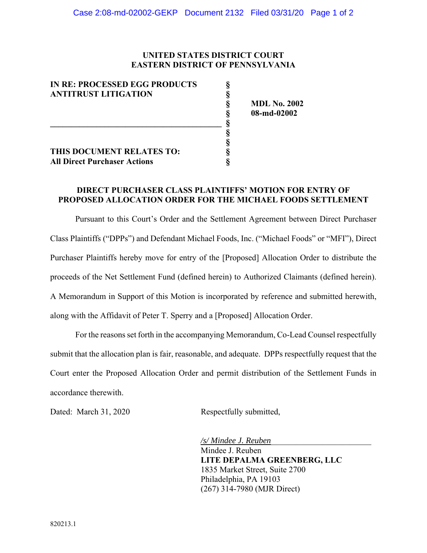## **UNITED STATES DISTRICT COURT EASTERN DISTRICT OF PENNSYLVANIA**

| IN RE: PROCESSED EGG PRODUCTS |  |
|-------------------------------|--|
| <b>ANTITRUST LITIGATION</b>   |  |

**\_\_\_\_\_\_\_\_\_\_\_\_\_\_\_\_\_\_\_\_\_\_\_\_\_\_\_\_\_\_\_\_\_\_\_\_\_\_\_\_\_ § § §** 

**§**<br>**§ MDL No. 2002**<br>**§ 08-md-02002**<br>**§**<br>**§**<br>**§**<br>**§**<br>**§ § 08-md-02002** 

## **THIS DOCUMENT RELATES TO: § All Direct Purchaser Actions**

## **DIRECT PURCHASER CLASS PLAINTIFFS' MOTION FOR ENTRY OF PROPOSED ALLOCATION ORDER FOR THE MICHAEL FOODS SETTLEMENT**

Pursuant to this Court's Order and the Settlement Agreement between Direct Purchaser Class Plaintiffs ("DPPs") and Defendant Michael Foods, Inc. ("Michael Foods" or "MFI"), Direct Purchaser Plaintiffs hereby move for entry of the [Proposed] Allocation Order to distribute the proceeds of the Net Settlement Fund (defined herein) to Authorized Claimants (defined herein). A Memorandum in Support of this Motion is incorporated by reference and submitted herewith, along with the Affidavit of Peter T. Sperry and a [Proposed] Allocation Order.

 For the reasons set forth in the accompanying Memorandum, Co-Lead Counsel respectfully submit that the allocation plan is fair, reasonable, and adequate. DPPs respectfully request that the Court enter the Proposed Allocation Order and permit distribution of the Settlement Funds in accordance therewith.

Dated: March 31, 2020 Respectfully submitted,

*/s/ Mindee J. Reuben*\_\_\_\_\_\_\_\_\_\_\_\_\_\_\_\_\_\_\_\_\_\_\_\_

 Mindee J. Reuben **LITE DEPALMA GREENBERG, LLC** 1835 Market Street, Suite 2700 Philadelphia, PA 19103 (267) 314-7980 (MJR Direct)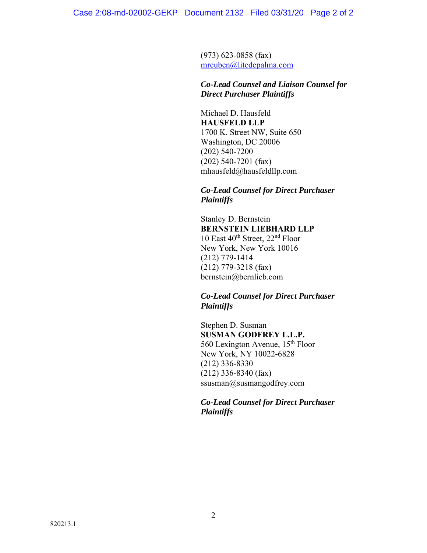(973) 623-0858 (fax) mreuben@litedepalma.com

# *Co-Lead Counsel and Liaison Counsel for Direct Purchaser Plaintiffs*

 Michael D. Hausfeld **HAUSFELD LLP** 1700 K. Street NW, Suite 650 Washington, DC 20006 (202) 540-7200 (202) 540-7201 (fax) mhausfeld@hausfeldllp.com

## *Co-Lead Counsel for Direct Purchaser Plaintiffs*

 Stanley D. Bernstein **BERNSTEIN LIEBHARD LLP**  10 East  $40^{th}$  Street,  $22^{nd}$  Floor New York, New York 10016 (212) 779-1414 (212) 779-3218 (fax) bernstein@bernlieb.com

# *Co-Lead Counsel for Direct Purchaser Plaintiffs*

 Stephen D. Susman **SUSMAN GODFREY L.L.P.**  560 Lexington Avenue, 15th Floor New York, NY 10022-6828 (212) 336-8330 (212) 336-8340 (fax) ssusman@susmangodfrey.com

# *Co-Lead Counsel for Direct Purchaser Plaintiffs*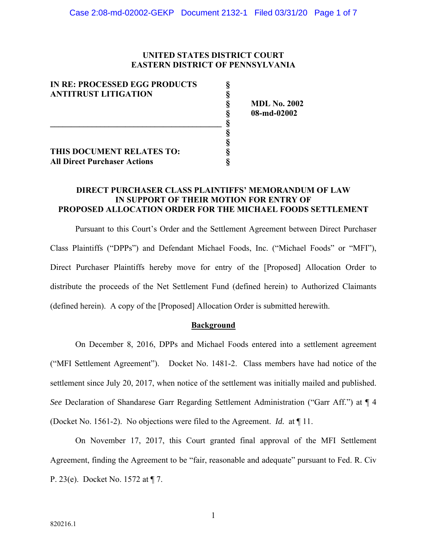### **UNITED STATES DISTRICT COURT EASTERN DISTRICT OF PENNSYLVANIA**

| <b>IN RE: PROCESSED EGG PRODUCTS</b><br><b>ANTITRUST LITIGATION</b> |  |
|---------------------------------------------------------------------|--|
|                                                                     |  |
| THIS DOCUMENT RELATES TO:<br><b>All Direct Purchaser Actions</b>    |  |

 **§ MDL No. 2002 § 08-md-02002** 

## **DIRECT PURCHASER CLASS PLAINTIFFS' MEMORANDUM OF LAW IN SUPPORT OF THEIR MOTION FOR ENTRY OF PROPOSED ALLOCATION ORDER FOR THE MICHAEL FOODS SETTLEMENT**

Pursuant to this Court's Order and the Settlement Agreement between Direct Purchaser Class Plaintiffs ("DPPs") and Defendant Michael Foods, Inc. ("Michael Foods" or "MFI"), Direct Purchaser Plaintiffs hereby move for entry of the [Proposed] Allocation Order to distribute the proceeds of the Net Settlement Fund (defined herein) to Authorized Claimants (defined herein). A copy of the [Proposed] Allocation Order is submitted herewith.

#### **Background**

 On December 8, 2016, DPPs and Michael Foods entered into a settlement agreement ("MFI Settlement Agreement"). Docket No. 1481-2. Class members have had notice of the settlement since July 20, 2017, when notice of the settlement was initially mailed and published. *See* Declaration of Shandarese Garr Regarding Settlement Administration ("Garr Aff.") at ¶ 4 (Docket No. 1561-2). No objections were filed to the Agreement. *Id.* at ¶ 11.

On November 17, 2017, this Court granted final approval of the MFI Settlement Agreement, finding the Agreement to be "fair, reasonable and adequate" pursuant to Fed. R. Civ P. 23(e). Docket No. 1572 at ¶ 7.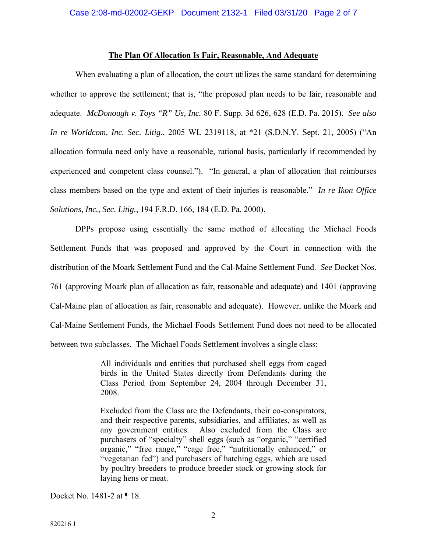#### **The Plan Of Allocation Is Fair, Reasonable, And Adequate**

 When evaluating a plan of allocation, the court utilizes the same standard for determining whether to approve the settlement; that is, "the proposed plan needs to be fair, reasonable and adequate. *McDonough v. Toys "R" Us, Inc.* 80 F. Supp. 3d 626, 628 (E.D. Pa. 2015). *See also In re Worldcom, Inc. Sec. Litig.*, 2005 WL 2319118, at \*21 (S.D.N.Y. Sept. 21, 2005) ("An allocation formula need only have a reasonable, rational basis, particularly if recommended by experienced and competent class counsel."). "In general, a plan of allocation that reimburses class members based on the type and extent of their injuries is reasonable." *In re Ikon Office Solutions, Inc., Sec. Litig.*, 194 F.R.D. 166, 184 (E.D. Pa. 2000).

 DPPs propose using essentially the same method of allocating the Michael Foods Settlement Funds that was proposed and approved by the Court in connection with the distribution of the Moark Settlement Fund and the Cal-Maine Settlement Fund. *See* Docket Nos. 761 (approving Moark plan of allocation as fair, reasonable and adequate) and 1401 (approving Cal-Maine plan of allocation as fair, reasonable and adequate). However, unlike the Moark and Cal-Maine Settlement Funds, the Michael Foods Settlement Fund does not need to be allocated between two subclasses. The Michael Foods Settlement involves a single class:

> All individuals and entities that purchased shell eggs from caged birds in the United States directly from Defendants during the Class Period from September 24, 2004 through December 31, 2008.

> Excluded from the Class are the Defendants, their co-conspirators, and their respective parents, subsidiaries, and affiliates, as well as any government entities. Also excluded from the Class are purchasers of "specialty" shell eggs (such as "organic," "certified organic," "free range," "cage free," "nutritionally enhanced," or "vegetarian fed") and purchasers of hatching eggs, which are used by poultry breeders to produce breeder stock or growing stock for laying hens or meat.

Docket No. 1481-2 at ¶ 18.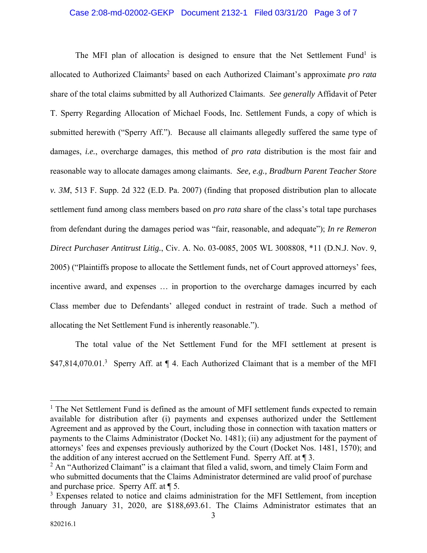#### Case 2:08-md-02002-GEKP Document 2132-1 Filed 03/31/20 Page 3 of 7

The MFI plan of allocation is designed to ensure that the Net Settlement Fund<sup>1</sup> is allocated to Authorized Claimants<sup>2</sup> based on each Authorized Claimant's approximate *pro rata* share of the total claims submitted by all Authorized Claimants. *See generally* Affidavit of Peter T. Sperry Regarding Allocation of Michael Foods, Inc. Settlement Funds, a copy of which is submitted herewith ("Sperry Aff."). Because all claimants allegedly suffered the same type of damages, *i.e.*, overcharge damages, this method of *pro rata* distribution is the most fair and reasonable way to allocate damages among claimants. *See, e.g., Bradburn Parent Teacher Store v. 3M*, 513 F. Supp. 2d 322 (E.D. Pa. 2007) (finding that proposed distribution plan to allocate settlement fund among class members based on *pro rata* share of the class's total tape purchases from defendant during the damages period was "fair, reasonable, and adequate"); *In re Remeron Direct Purchaser Antitrust Litig.*, Civ. A. No. 03-0085, 2005 WL 3008808, \*11 (D.N.J. Nov. 9, 2005) ("Plaintiffs propose to allocate the Settlement funds, net of Court approved attorneys' fees, incentive award, and expenses … in proportion to the overcharge damages incurred by each Class member due to Defendants' alleged conduct in restraint of trade. Such a method of allocating the Net Settlement Fund is inherently reasonable.").

The total value of the Net Settlement Fund for the MFI settlement at present is \$47,814,070.01.<sup>3</sup> Sperry Aff. at  $\P$  4. Each Authorized Claimant that is a member of the MFI

<sup>&</sup>lt;sup>1</sup> The Net Settlement Fund is defined as the amount of MFI settlement funds expected to remain available for distribution after (i) payments and expenses authorized under the Settlement Agreement and as approved by the Court, including those in connection with taxation matters or payments to the Claims Administrator (Docket No. 1481); (ii) any adjustment for the payment of attorneys' fees and expenses previously authorized by the Court (Docket Nos. 1481, 1570); and the addition of any interest accrued on the Settlement Fund. Sperry Aff. at ¶ 3.

 $2$  An "Authorized Claimant" is a claimant that filed a valid, sworn, and timely Claim Form and who submitted documents that the Claims Administrator determined are valid proof of purchase and purchase price. Sperry Aff. at ¶ 5.

<sup>&</sup>lt;sup>3</sup> Expenses related to notice and claims administration for the MFI Settlement, from inception through January 31, 2020, are \$188,693.61. The Claims Administrator estimates that an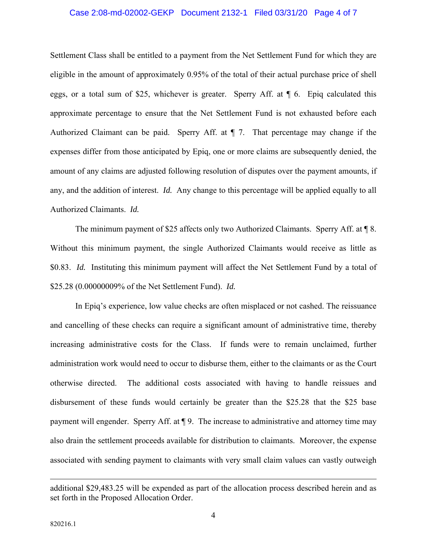#### Case 2:08-md-02002-GEKP Document 2132-1 Filed 03/31/20 Page 4 of 7

Settlement Class shall be entitled to a payment from the Net Settlement Fund for which they are eligible in the amount of approximately 0.95% of the total of their actual purchase price of shell eggs, or a total sum of \$25, whichever is greater. Sperry Aff. at ¶ 6. Epiq calculated this approximate percentage to ensure that the Net Settlement Fund is not exhausted before each Authorized Claimant can be paid. Sperry Aff. at ¶ 7. That percentage may change if the expenses differ from those anticipated by Epiq, one or more claims are subsequently denied, the amount of any claims are adjusted following resolution of disputes over the payment amounts, if any, and the addition of interest. *Id.* Any change to this percentage will be applied equally to all Authorized Claimants. *Id.* 

The minimum payment of \$25 affects only two Authorized Claimants. Sperry Aff. at \in 8. Without this minimum payment, the single Authorized Claimants would receive as little as \$0.83. *Id.* Instituting this minimum payment will affect the Net Settlement Fund by a total of \$25.28 (0.00000009% of the Net Settlement Fund). *Id.* 

 In Epiq's experience, low value checks are often misplaced or not cashed. The reissuance and cancelling of these checks can require a significant amount of administrative time, thereby increasing administrative costs for the Class. If funds were to remain unclaimed, further administration work would need to occur to disburse them, either to the claimants or as the Court otherwise directed. The additional costs associated with having to handle reissues and disbursement of these funds would certainly be greater than the \$25.28 that the \$25 base payment will engender. Sperry Aff. at ¶ 9. The increase to administrative and attorney time may also drain the settlement proceeds available for distribution to claimants. Moreover, the expense associated with sending payment to claimants with very small claim values can vastly outweigh

additional \$29,483.25 will be expended as part of the allocation process described herein and as set forth in the Proposed Allocation Order.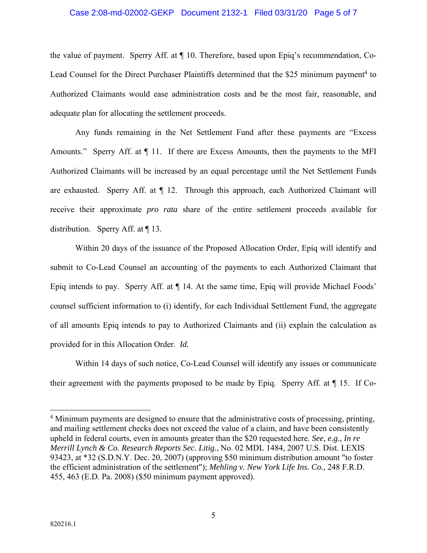#### Case 2:08-md-02002-GEKP Document 2132-1 Filed 03/31/20 Page 5 of 7

the value of payment. Sperry Aff. at ¶ 10. Therefore, based upon Epiq's recommendation, Co-Lead Counsel for the Direct Purchaser Plaintiffs determined that the \$25 minimum payment<sup>4</sup> to Authorized Claimants would ease administration costs and be the most fair, reasonable, and adequate plan for allocating the settlement proceeds.

 Any funds remaining in the Net Settlement Fund after these payments are "Excess Amounts." Sperry Aff. at  $\P$  11. If there are Excess Amounts, then the payments to the MFI Authorized Claimants will be increased by an equal percentage until the Net Settlement Funds are exhausted. Sperry Aff. at  $\P$  12. Through this approach, each Authorized Claimant will receive their approximate *pro rata* share of the entire settlement proceeds available for distribution. Sperry Aff. at ¶ 13.

 Within 20 days of the issuance of the Proposed Allocation Order, Epiq will identify and submit to Co-Lead Counsel an accounting of the payments to each Authorized Claimant that Epiq intends to pay. Sperry Aff. at ¶ 14. At the same time, Epiq will provide Michael Foods' counsel sufficient information to (i) identify, for each Individual Settlement Fund, the aggregate of all amounts Epiq intends to pay to Authorized Claimants and (ii) explain the calculation as provided for in this Allocation Order. *Id.*

 Within 14 days of such notice, Co-Lead Counsel will identify any issues or communicate their agreement with the payments proposed to be made by Epiq. Sperry Aff. at ¶ 15. If Co-

<sup>&</sup>lt;sup>4</sup> Minimum payments are designed to ensure that the administrative costs of processing, printing, and mailing settlement checks does not exceed the value of a claim, and have been consistently upheld in federal courts, even in amounts greater than the \$20 requested here. *See, e.g., In re Merrill Lynch & Co. Research Reports Sec. Litig.*, No. 02 MDL 1484, 2007 U.S. Dist. LEXIS 93423, at \*32 (S.D.N.Y. Dec. 20, 2007) (approving \$50 minimum distribution amount "to foster the efficient administration of the settlement"); *Mehling v. New York Life Ins. Co.,* 248 F.R.D. 455, 463 (E.D. Pa. 2008) (\$50 minimum payment approved).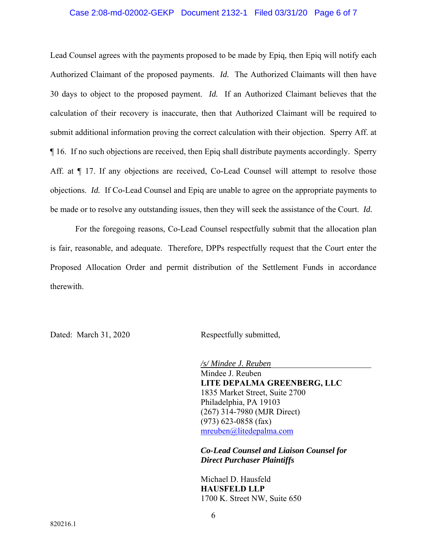#### Case 2:08-md-02002-GEKP Document 2132-1 Filed 03/31/20 Page 6 of 7

Lead Counsel agrees with the payments proposed to be made by Epiq, then Epiq will notify each Authorized Claimant of the proposed payments. *Id.* The Authorized Claimants will then have 30 days to object to the proposed payment. *Id.* If an Authorized Claimant believes that the calculation of their recovery is inaccurate, then that Authorized Claimant will be required to submit additional information proving the correct calculation with their objection. Sperry Aff. at ¶ 16. If no such objections are received, then Epiq shall distribute payments accordingly. Sperry Aff. at  $\P$  17. If any objections are received, Co-Lead Counsel will attempt to resolve those objections. *Id.* If Co-Lead Counsel and Epiq are unable to agree on the appropriate payments to be made or to resolve any outstanding issues, then they will seek the assistance of the Court. *Id.* 

 For the foregoing reasons, Co-Lead Counsel respectfully submit that the allocation plan is fair, reasonable, and adequate. Therefore, DPPs respectfully request that the Court enter the Proposed Allocation Order and permit distribution of the Settlement Funds in accordance therewith.

Dated: March 31, 2020 Respectfully submitted,

 */s/ Mindee J. Reuben*\_\_\_\_\_\_\_\_\_\_\_\_\_\_\_\_\_\_\_\_\_\_\_\_ Mindee J. Reuben **LITE DEPALMA GREENBERG, LLC** 1835 Market Street, Suite 2700 Philadelphia, PA 19103 (267) 314-7980 (MJR Direct) (973) 623-0858 (fax) mreuben@litedepalma.com

 *Co-Lead Counsel and Liaison Counsel for Direct Purchaser Plaintiffs*

 Michael D. Hausfeld **HAUSFELD LLP** 1700 K. Street NW, Suite 650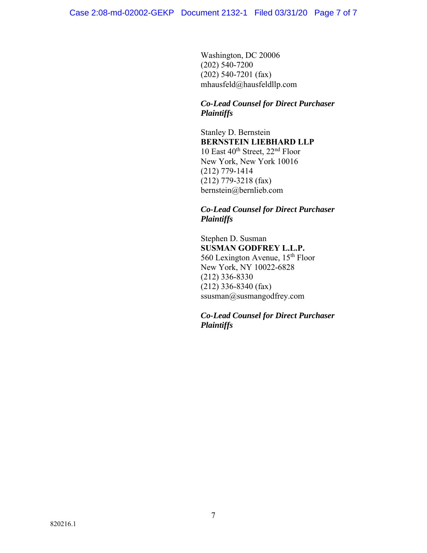Washington, DC 20006 (202) 540-7200 (202) 540-7201 (fax) mhausfeld@hausfeldllp.com

# *Co-Lead Counsel for Direct Purchaser Plaintiffs*

 Stanley D. Bernstein **BERNSTEIN LIEBHARD LLP**  10 East  $40^{th}$  Street,  $22^{nd}$  Floor New York, New York 10016 (212) 779-1414 (212) 779-3218 (fax) bernstein@bernlieb.com

# *Co-Lead Counsel for Direct Purchaser Plaintiffs*

 Stephen D. Susman **SUSMAN GODFREY L.L.P.**  560 Lexington Avenue, 15th Floor New York, NY 10022-6828 (212) 336-8330 (212) 336-8340 (fax) ssusman@susmangodfrey.com

 *Co-Lead Counsel for Direct Purchaser Plaintiffs*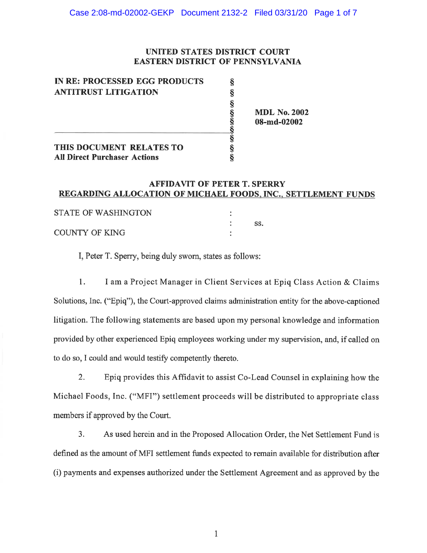## UNITED STATES DISTRICT COURT **EASTERN DISTRICT OF PENNSYLVANIA**

| IN RE: PROCESSED EGG PRODUCTS       |                     |
|-------------------------------------|---------------------|
| <b>ANTITRUST LITIGATION</b>         |                     |
|                                     |                     |
|                                     | <b>MDL No. 2002</b> |
|                                     | 08-md-02002         |
|                                     |                     |
| THIS DOCUMENT RELATES TO            |                     |
| <b>All Direct Purchaser Actions</b> |                     |

# **AFFIDAVIT OF PETER T. SPERRY** REGARDING ALLOCATION OF MICHAEL FOODS, INC., SETTLEMENT FUNDS

| STATE OF WASHINGTON |  |
|---------------------|--|
|                     |  |
| COUNTY OF KING      |  |

I, Peter T. Sperry, being duly sworn, states as follows:

 $\overline{1}$ . I am a Project Manager in Client Services at Epig Class Action & Claims Solutions, Inc. ("Epiq"), the Court-approved claims administration entity for the above-captioned litigation. The following statements are based upon my personal knowledge and information provided by other experienced Epiq employees working under my supervision, and, if called on to do so, I could and would testify competently thereto.

Epiq provides this Affidavit to assist Co-Lead Counsel in explaining how the  $2.$ Michael Foods, Inc. ("MFI") settlement proceeds will be distributed to appropriate class members if approved by the Court.

As used herein and in the Proposed Allocation Order, the Net Settlement Fund is  $3.$ defined as the amount of MFI settlement funds expected to remain available for distribution after (i) payments and expenses authorized under the Settlement Agreement and as approved by the

 $\mathbf{1}$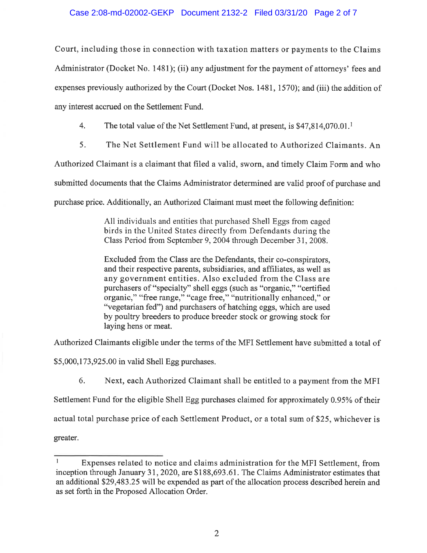## Case 2:08-md-02002-GEKP Document 2132-2 Filed 03/31/20 Page 2 of 7

Court, including those in connection with taxation matters or payments to the Claims Administrator (Docket No. 1481); (ii) any adjustment for the payment of attorneys' fees and expenses previously authorized by the Court (Docket Nos. 1481, 1570); and (iii) the addition of any interest accrued on the Settlement Fund.

 $\overline{4}$ . The total value of the Net Settlement Fund, at present, is \$47,814,070.01.<sup>1</sup>

5. The Net Settlement Fund will be allocated to Authorized Claimants. An

Authorized Claimant is a claimant that filed a valid, sworn, and timely Claim Form and who

submitted documents that the Claims Administrator determined are valid proof of purchase and

purchase price. Additionally, an Authorized Claimant must meet the following definition:

All individuals and entities that purchased Shell Eggs from caged birds in the United States directly from Defendants during the Class Period from September 9, 2004 through December 31, 2008.

Excluded from the Class are the Defendants, their co-conspirators, and their respective parents, subsidiaries, and affiliates, as well as any government entities. Also excluded from the Class are purchasers of "specialty" shell eggs (such as "organic," "certified organic," "free range," "cage free," "nutritionally enhanced," or "vegetarian fed") and purchasers of hatching eggs, which are used by poultry breeders to produce breeder stock or growing stock for laying hens or meat.

Authorized Claimants eligible under the terms of the MFI Settlement have submitted a total of

\$5,000,173,925.00 in valid Shell Egg purchases.

6. Next, each Authorized Claimant shall be entitled to a payment from the MFI Settlement Fund for the eligible Shell Egg purchases claimed for approximately 0.95% of their actual total purchase price of each Settlement Product, or a total sum of \$25, whichever is greater.

 $\mathbf 1$ Expenses related to notice and claims administration for the MFI Settlement, from inception through January 31, 2020, are \$188,693.61. The Claims Administrator estimates that an additional \$29,483.25 will be expended as part of the allocation process described herein and as set forth in the Proposed Allocation Order.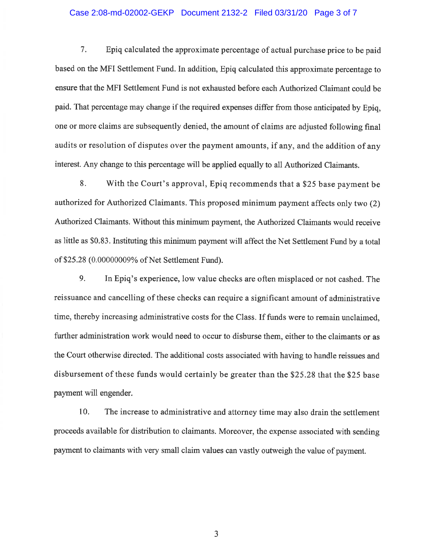#### Case 2:08-md-02002-GEKP Document 2132-2 Filed 03/31/20 Page 3 of 7

7. Epiq calculated the approximate percentage of actual purchase price to be paid based on the MFI Settlement Fund. In addition, Epiq calculated this approximate percentage to ensure that the MFI Settlement Fund is not exhausted before each Authorized Claimant could be paid. That percentage may change if the required expenses differ from those anticipated by Epiq, one or more claims are subsequently denied, the amount of claims are adjusted following final audits or resolution of disputes over the payment amounts, if any, and the addition of any interest. Any change to this percentage will be applied equally to all Authorized Claimants.

8. With the Court's approval, Epiq recommends that a \$25 base payment be authorized for Authorized Claimants. This proposed minimum payment affects only two (2) Authorized Claimants. Without this minimum payment, the Authorized Claimants would receive as little as \$0.83. Instituting this minimum payment will affect the Net Settlement Fund by a total of \$25.28 (0.00000009% of Net Settlement Fund).

9. In Epiq's experience, low value checks are often misplaced or not cashed. The reissuance and cancelling of these checks can require a significant amount of administrative time, thereby increasing administrative costs for the Class. If funds were to remain unclaimed, further administration work would need to occur to disburse them, either to the claimants or as the Court otherwise directed. The additional costs associated with having to handle reissues and disbursement of these funds would certainly be greater than the \$25.28 that the \$25 base payment will engender.

10. The increase to administrative and attorney time may also drain the settlement proceeds available for distribution to claimants. Moreover, the expense associated with sending payment to claimants with very small claim values can vastly outweigh the value of payment.

3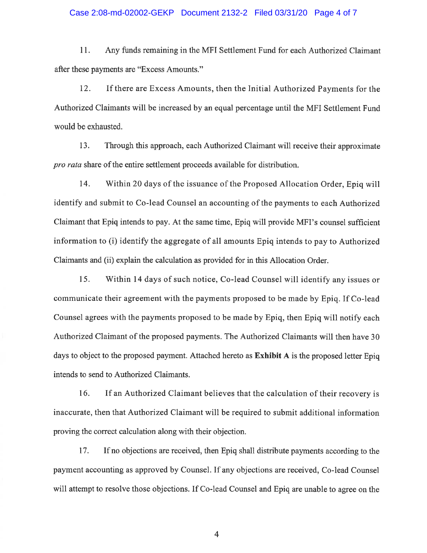#### Case 2:08-md-02002-GEKP Document 2132-2 Filed 03/31/20 Page 4 of 7

11. Any funds remaining in the MFI Settlement Fund for each Authorized Claimant after these payments are "Excess Amounts."

12. If there are Excess Amounts, then the Initial Authorized Payments for the Authorized Claimants will be increased by an equal percentage until the MFI Settlement Fund would be exhausted.

13. Through this approach, each Authorized Claimant will receive their approximate *pro rata* share of the entire settlement proceeds available for distribution.

14. Within 20 days of the issuance of the Proposed Allocation Order, Epiq will identify and submit to Co-lead Counsel an accounting of the payments to each Authorized Claimant that Epiq intends to pay. At the same time, Epiq will provide MFI's counsel sufficient information to (i) identify the aggregate of all amounts Epiq intends to pay to Authorized Claimants and (ii) explain the calculation as provided for in this Allocation Order.

15. Within 14 days of such notice, Co-lead Counsel will identify any issues or communicate their agreement with the payments proposed to be made by Epiq. If Co-lead Counsel agrees with the payments proposed to be made by Epiq, then Epiq will notify each Authorized Claimant of the proposed payments. The Authorized Claimants will then have 30 days to object to the proposed payment. Attached hereto as **Exhibit A** is the proposed letter Epig intends to send to Authorized Claimants.

16. If an Authorized Claimant believes that the calculation of their recovery is inaccurate, then that Authorized Claimant will be required to submit additional information proving the correct calculation along with their objection.

17. If no objections are received, then Epiq shall distribute payments according to the payment accounting as approved by Counsel. If any objections are received, Co-lead Counsel will attempt to resolve those objections. If Co-lead Counsel and Epiq are unable to agree on the

 $\overline{4}$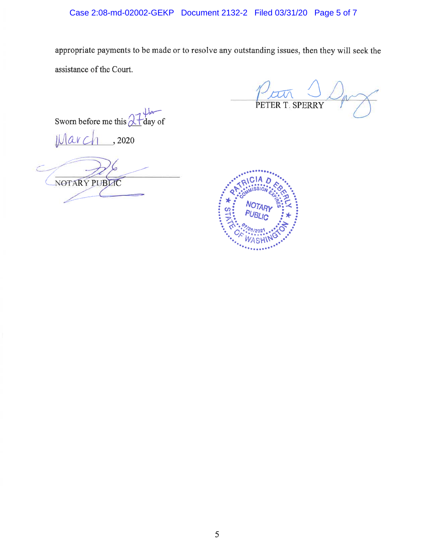appropriate payments to be made or to resolve any outstanding issues, then they will seek the assistance of the Court.

PETER T. SPERRY

Sworn before me this  $\frac{\partial \mathcal{L}}{\partial \mathbf{a}}$  of

 $, 2020$  $\alpha$ 

NOTARY PUBLIC

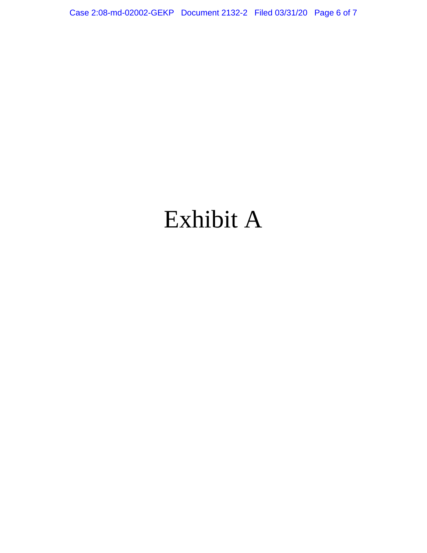Case 2:08-md-02002-GEKP Document 2132-2 Filed 03/31/20 Page 6 of 7

# Exhibit A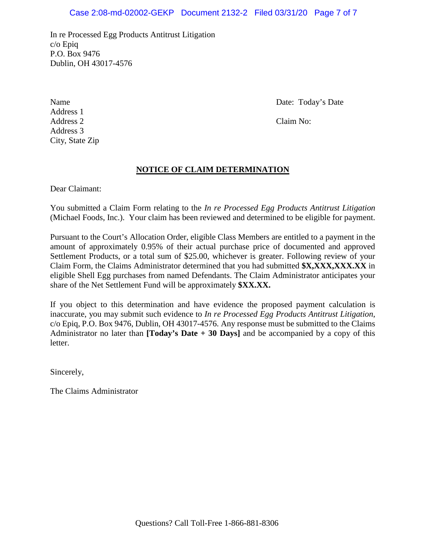## Case 2:08-md-02002-GEKP Document 2132-2 Filed 03/31/20 Page 7 of 7

In re Processed Egg Products Antitrust Litigation c/o Epiq P.O. Box 9476 Dublin, OH 43017-4576

Address 1 Address 2 Claim No: Address 3 City, State Zip

Name Date: Today's Date: Today's Date:

## **NOTICE OF CLAIM DETERMINATION**

Dear Claimant:

You submitted a Claim Form relating to the *In re Processed Egg Products Antitrust Litigation* (Michael Foods, Inc.). Your claim has been reviewed and determined to be eligible for payment.

Pursuant to the Court's Allocation Order, eligible Class Members are entitled to a payment in the amount of approximately 0.95% of their actual purchase price of documented and approved Settlement Products, or a total sum of \$25.00, whichever is greater. Following review of your Claim Form, the Claims Administrator determined that you had submitted **\$X,XXX,XXX.XX** in eligible Shell Egg purchases from named Defendants. The Claim Administrator anticipates your share of the Net Settlement Fund will be approximately **\$XX.XX.**

If you object to this determination and have evidence the proposed payment calculation is inaccurate, you may submit such evidence to *In re Processed Egg Products Antitrust Litigation*, c/o Epiq, P.O. Box 9476, Dublin, OH 43017-4576. Any response must be submitted to the Claims Administrator no later than **[Today's Date + 30 Days]** and be accompanied by a copy of this letter.

Sincerely,

The Claims Administrator